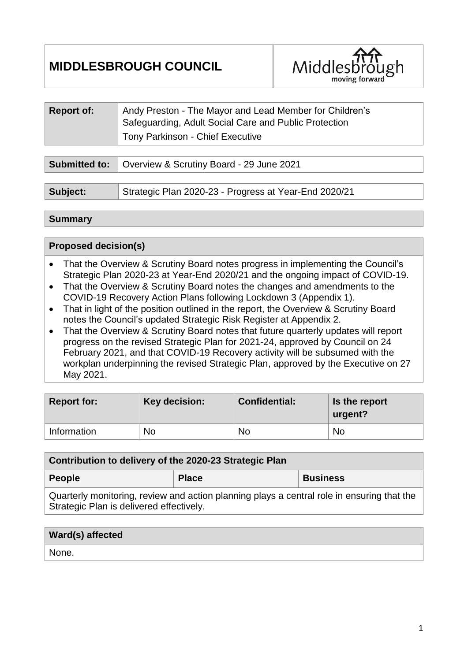# **MIDDLESBROUGH COUNCIL**



| <b>Report of:</b> | Andy Preston - The Mayor and Lead Member for Children's<br>Safeguarding, Adult Social Care and Public Protection<br><b>Tony Parkinson - Chief Executive</b> |
|-------------------|-------------------------------------------------------------------------------------------------------------------------------------------------------------|
|                   |                                                                                                                                                             |
|                   | <b>Submitted to:</b>   Overview & Scrutiny Board - 29 June 2021                                                                                             |

| Subject: | Strategic Plan 2020-23 - Progress at Year-End 2020/21 |  |
|----------|-------------------------------------------------------|--|
|          |                                                       |  |

#### **Summary**

### **Proposed decision(s)**

Strategic Plan is delivered effectively.

- That the Overview & Scrutiny Board notes progress in implementing the Council's Strategic Plan 2020-23 at Year-End 2020/21 and the ongoing impact of COVID-19.
- That the Overview & Scrutiny Board notes the changes and amendments to the COVID-19 Recovery Action Plans following Lockdown 3 (Appendix 1).
- That in light of the position outlined in the report, the Overview & Scrutiny Board notes the Council's updated Strategic Risk Register at Appendix 2.
- That the Overview & Scrutiny Board notes that future quarterly updates will report progress on the revised Strategic Plan for 2021-24, approved by Council on 24 February 2021, and that COVID-19 Recovery activity will be subsumed with the workplan underpinning the revised Strategic Plan, approved by the Executive on 27 May 2021.

| <b>Report for:</b> | Key decision: | <b>Confidential:</b> | Is the report<br>urgent? |  |
|--------------------|---------------|----------------------|--------------------------|--|
| Information        | No            | No                   | <b>No</b>                |  |

| Contribution to delivery of the 2020-23 Strategic Plan                                     |              |                 |  |  |  |  |
|--------------------------------------------------------------------------------------------|--------------|-----------------|--|--|--|--|
| <b>People</b>                                                                              | <b>Place</b> | <b>Business</b> |  |  |  |  |
| Quarterly monitoring, review and action planning plays a central role in ensuring that the |              |                 |  |  |  |  |

| Ward(s) affected |  |
|------------------|--|
| None.            |  |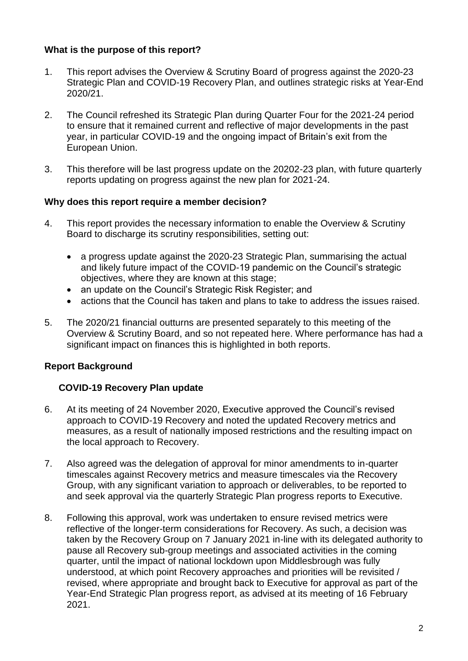### **What is the purpose of this report?**

- 1. This report advises the Overview & Scrutiny Board of progress against the 2020-23 Strategic Plan and COVID-19 Recovery Plan, and outlines strategic risks at Year-End 2020/21.
- 2. The Council refreshed its Strategic Plan during Quarter Four for the 2021-24 period to ensure that it remained current and reflective of major developments in the past year, in particular COVID-19 and the ongoing impact of Britain's exit from the European Union.
- 3. This therefore will be last progress update on the 20202-23 plan, with future quarterly reports updating on progress against the new plan for 2021-24.

### **Why does this report require a member decision?**

- 4. This report provides the necessary information to enable the Overview & Scrutiny Board to discharge its scrutiny responsibilities, setting out:
	- a progress update against the 2020-23 Strategic Plan, summarising the actual and likely future impact of the COVID-19 pandemic on the Council's strategic objectives, where they are known at this stage;
	- an update on the Council's Strategic Risk Register; and
	- actions that the Council has taken and plans to take to address the issues raised.
- 5. The 2020/21 financial outturns are presented separately to this meeting of the Overview & Scrutiny Board, and so not repeated here. Where performance has had a significant impact on finances this is highlighted in both reports.

### **Report Background**

### **COVID-19 Recovery Plan update**

- 6. At its meeting of 24 November 2020, Executive approved the Council's revised approach to COVID-19 Recovery and noted the updated Recovery metrics and measures, as a result of nationally imposed restrictions and the resulting impact on the local approach to Recovery.
- 7. Also agreed was the delegation of approval for minor amendments to in-quarter timescales against Recovery metrics and measure timescales via the Recovery Group, with any significant variation to approach or deliverables, to be reported to and seek approval via the quarterly Strategic Plan progress reports to Executive.
- 8. Following this approval, work was undertaken to ensure revised metrics were reflective of the longer-term considerations for Recovery. As such, a decision was taken by the Recovery Group on 7 January 2021 in-line with its delegated authority to pause all Recovery sub-group meetings and associated activities in the coming quarter, until the impact of national lockdown upon Middlesbrough was fully understood, at which point Recovery approaches and priorities will be revisited / revised, where appropriate and brought back to Executive for approval as part of the Year-End Strategic Plan progress report, as advised at its meeting of 16 February 2021.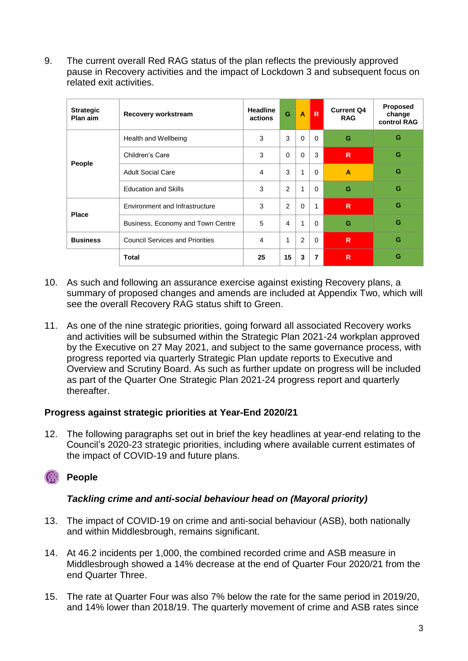9. The current overall Red RAG status of the plan reflects the previously approved pause in Recovery activities and the impact of Lockdown 3 and subsequent focus on related exit activities.

| <b>Strategic</b><br>Plan aim | Recovery workstream                    | <b>Headline</b><br>actions | G           | $\overline{A}$ | R        | <b>Current Q4</b><br><b>RAG</b> | <b>Proposed</b><br>change<br>control RAG |
|------------------------------|----------------------------------------|----------------------------|-------------|----------------|----------|---------------------------------|------------------------------------------|
|                              | Health and Wellbeing                   | 3                          | 3           | $\Omega$       | $\Omega$ | G                               | G                                        |
| People                       | Children's Care                        | 3                          | $\mathbf 0$ | $\Omega$       | 3        | R                               | G                                        |
|                              | <b>Adult Social Care</b>               | 4                          | 3           | 1              | $\Omega$ | A                               | G                                        |
|                              | <b>Education and Skills</b>            | 3                          | 2           | 1              | $\Omega$ | G                               | G                                        |
|                              | Environment and Infrastructure         | 3                          | 2           | $\Omega$       | 1        | R                               | G                                        |
| <b>Place</b>                 | Business, Economy and Town Centre      | 5                          | 4           | 1              | $\Omega$ | G                               | G                                        |
| <b>Business</b>              | <b>Council Services and Priorities</b> | 4                          | 1           | 2              | $\Omega$ | R                               | G                                        |
|                              | <b>Total</b>                           | 25                         | 15          | 3              | 7        | R                               | G                                        |

- 10. As such and following an assurance exercise against existing Recovery plans, a summary of proposed changes and amends are included at Appendix Two, which will see the overall Recovery RAG status shift to Green.
- 11. As one of the nine strategic priorities, going forward all associated Recovery works and activities will be subsumed within the Strategic Plan 2021-24 workplan approved by the Executive on 27 May 2021, and subject to the same governance process, with progress reported via quarterly Strategic Plan update reports to Executive and Overview and Scrutiny Board. As such as further update on progress will be included as part of the Quarter One Strategic Plan 2021-24 progress report and quarterly thereafter.

### **Progress against strategic priorities at Year-End 2020/21**

12. The following paragraphs set out in brief the key headlines at year-end relating to the Council's 2020-23 strategic priorities, including where available current estimates of the impact of COVID-19 and future plans.

## *<u>Cople</u>*

### *Tackling crime and anti-social behaviour head on (Mayoral priority)*

- 13. The impact of COVID-19 on crime and anti-social behaviour (ASB), both nationally and within Middlesbrough, remains significant.
- 14. At 46.2 incidents per 1,000, the combined recorded crime and ASB measure in Middlesbrough showed a 14% decrease at the end of Quarter Four 2020/21 from the end Quarter Three.
- 15. The rate at Quarter Four was also 7% below the rate for the same period in 2019/20, and 14% lower than 2018/19. The quarterly movement of crime and ASB rates since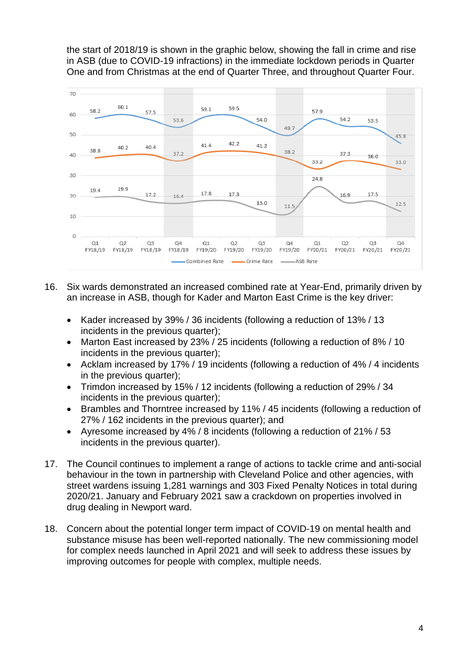the start of 2018/19 is shown in the graphic below, showing the fall in crime and rise in ASB (due to COVID-19 infractions) in the immediate lockdown periods in Quarter One and from Christmas at the end of Quarter Three, and throughout Quarter Four.



- 16. Six wards demonstrated an increased combined rate at Year-End, primarily driven by an increase in ASB, though for Kader and Marton East Crime is the key driver:
	- Kader increased by 39% / 36 incidents (following a reduction of 13% / 13 incidents in the previous quarter);
	- Marton East increased by 23% / 25 incidents (following a reduction of 8% / 10 incidents in the previous quarter);
	- Acklam increased by 17% / 19 incidents (following a reduction of 4% / 4 incidents in the previous quarter);
	- Trimdon increased by 15% / 12 incidents (following a reduction of 29% / 34 incidents in the previous quarter);
	- Brambles and Thorntree increased by 11% / 45 incidents (following a reduction of 27% / 162 incidents in the previous quarter); and
	- Ayresome increased by 4% / 8 incidents (following a reduction of 21% / 53 incidents in the previous quarter).
- 17. The Council continues to implement a range of actions to tackle crime and anti-social behaviour in the town in partnership with Cleveland Police and other agencies, with street wardens issuing 1,281 warnings and 303 Fixed Penalty Notices in total during 2020/21. January and February 2021 saw a crackdown on properties involved in drug dealing in Newport ward.
- 18. Concern about the potential longer term impact of COVID-19 on mental health and substance misuse has been well-reported nationally. The new commissioning model for complex needs launched in April 2021 and will seek to address these issues by improving outcomes for people with complex, multiple needs.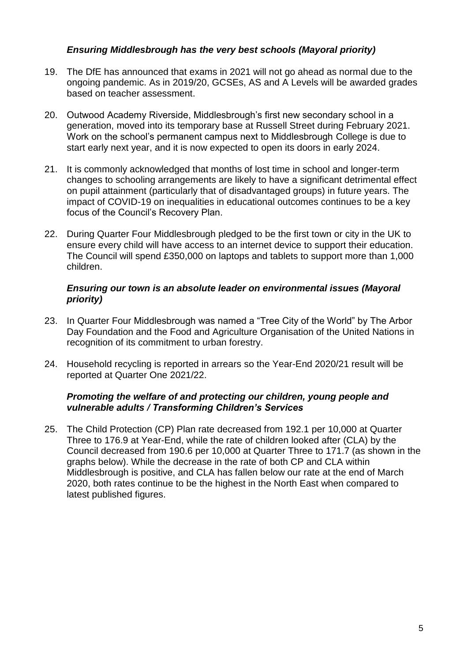### *Ensuring Middlesbrough has the very best schools (Mayoral priority)*

- 19. The DfE has announced that exams in 2021 will not go ahead as normal due to the ongoing pandemic. As in 2019/20, GCSEs, AS and A Levels will be awarded grades based on teacher assessment.
- 20. Outwood Academy Riverside, Middlesbrough's first new secondary school in a generation, moved into its temporary base at Russell Street during February 2021. Work on the school's permanent campus next to Middlesbrough College is due to start early next year, and it is now expected to open its doors in early 2024.
- 21. It is commonly acknowledged that months of lost time in school and longer-term changes to schooling arrangements are likely to have a significant detrimental effect on pupil attainment (particularly that of disadvantaged groups) in future years. The impact of COVID-19 on inequalities in educational outcomes continues to be a key focus of the Council's Recovery Plan.
- 22. During Quarter Four Middlesbrough pledged to be the first town or city in the UK to ensure every child will have access to an internet device to support their education. The Council will spend £350,000 on laptops and tablets to support more than 1,000 children.

#### *Ensuring our town is an absolute leader on environmental issues (Mayoral priority)*

- 23. In Quarter Four Middlesbrough was named a "Tree City of the World" by The Arbor Day Foundation and the Food and Agriculture Organisation of the United Nations in recognition of its commitment to urban forestry.
- 24. Household recycling is reported in arrears so the Year-End 2020/21 result will be reported at Quarter One 2021/22.

#### *Promoting the welfare of and protecting our children, young people and vulnerable adults / Transforming Children's Services*

25. The Child Protection (CP) Plan rate decreased from 192.1 per 10,000 at Quarter Three to 176.9 at Year-End, while the rate of children looked after (CLA) by the Council decreased from 190.6 per 10,000 at Quarter Three to 171.7 (as shown in the graphs below). While the decrease in the rate of both CP and CLA within Middlesbrough is positive, and CLA has fallen below our rate at the end of March 2020, both rates continue to be the highest in the North East when compared to latest published figures.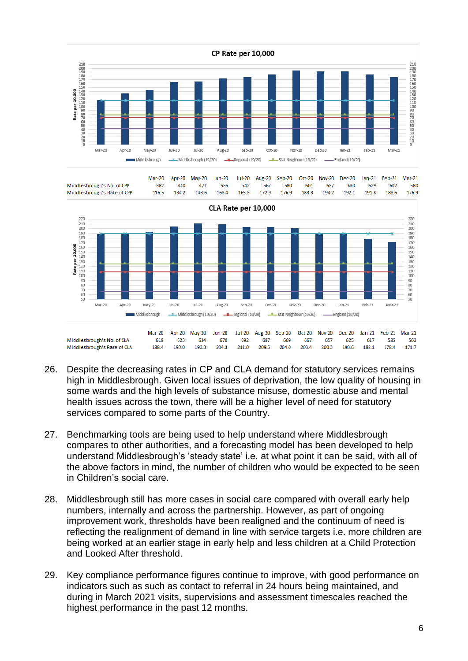

|                             | Mar-20 |     | Apr-20 May-20 Jun-20 Jul-20 Aug-20 Sep-20 Oct-20 Nov-20 Dec-20 Jan-21 Feb-21 Mar-21 |       |     |     |                   |       |     |                   |     |       |       |
|-----------------------------|--------|-----|-------------------------------------------------------------------------------------|-------|-----|-----|-------------------|-------|-----|-------------------|-----|-------|-------|
| Middlesbrough's No. of CPP  | 382    | 440 | 471                                                                                 | 536   | 542 | 567 | 580               | 601   | 637 | 630               | 629 | 602   | 580   |
| Middlesbrough's Rate of CPP |        |     | 116.5 134.2 143.6                                                                   | 163.4 |     |     | 165.3 172.9 176.9 | 183.3 |     | 194.2 192.1 191.8 |     | 183.6 | 176.9 |
|                             |        |     |                                                                                     |       |     |     |                   |       |     |                   |     |       |       |



- 26. Despite the decreasing rates in CP and CLA demand for statutory services remains high in Middlesbrough. Given local issues of deprivation, the low quality of housing in some wards and the high levels of substance misuse, domestic abuse and mental health issues across the town, there will be a higher level of need for statutory services compared to some parts of the Country.
- 27. Benchmarking tools are being used to help understand where Middlesbrough compares to other authorities, and a forecasting model has been developed to help understand Middlesbrough's 'steady state' i.e. at what point it can be said, with all of the above factors in mind, the number of children who would be expected to be seen in Children's social care.
- 28. Middlesbrough still has more cases in social care compared with overall early help numbers, internally and across the partnership. However, as part of ongoing improvement work, thresholds have been realigned and the continuum of need is reflecting the realignment of demand in line with service targets i.e. more children are being worked at an earlier stage in early help and less children at a Child Protection and Looked After threshold.
- 29. Key compliance performance figures continue to improve, with good performance on indicators such as such as contact to referral in 24 hours being maintained, and during in March 2021 visits, supervisions and assessment timescales reached the highest performance in the past 12 months.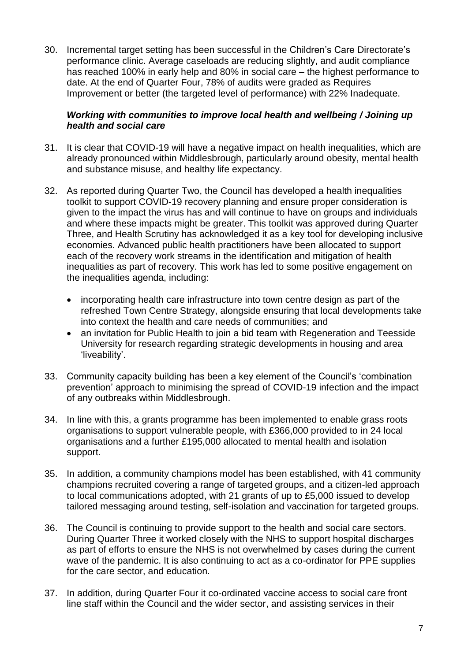30. Incremental target setting has been successful in the Children's Care Directorate's performance clinic. Average caseloads are reducing slightly, and audit compliance has reached 100% in early help and 80% in social care – the highest performance to date. At the end of Quarter Four, 78% of audits were graded as Requires Improvement or better (the targeted level of performance) with 22% Inadequate.

### *Working with communities to improve local health and wellbeing / Joining up health and social care*

- 31. It is clear that COVID-19 will have a negative impact on health inequalities, which are already pronounced within Middlesbrough, particularly around obesity, mental health and substance misuse, and healthy life expectancy.
- 32. As reported during Quarter Two, the Council has developed a health inequalities toolkit to support COVID-19 recovery planning and ensure proper consideration is given to the impact the virus has and will continue to have on groups and individuals and where these impacts might be greater. This toolkit was approved during Quarter Three, and Health Scrutiny has acknowledged it as a key tool for developing inclusive economies. Advanced public health practitioners have been allocated to support each of the recovery work streams in the identification and mitigation of health inequalities as part of recovery. This work has led to some positive engagement on the inequalities agenda, including:
	- incorporating health care infrastructure into town centre design as part of the refreshed Town Centre Strategy, alongside ensuring that local developments take into context the health and care needs of communities; and
	- an invitation for Public Health to join a bid team with Regeneration and Teesside University for research regarding strategic developments in housing and area 'liveability'.
- 33. Community capacity building has been a key element of the Council's 'combination prevention' approach to minimising the spread of COVID-19 infection and the impact of any outbreaks within Middlesbrough.
- 34. In line with this, a grants programme has been implemented to enable grass roots organisations to support vulnerable people, with £366,000 provided to in 24 local organisations and a further £195,000 allocated to mental health and isolation support.
- 35. In addition, a community champions model has been established, with 41 community champions recruited covering a range of targeted groups, and a citizen-led approach to local communications adopted, with 21 grants of up to £5,000 issued to develop tailored messaging around testing, self-isolation and vaccination for targeted groups.
- 36. The Council is continuing to provide support to the health and social care sectors. During Quarter Three it worked closely with the NHS to support hospital discharges as part of efforts to ensure the NHS is not overwhelmed by cases during the current wave of the pandemic. It is also continuing to act as a co-ordinator for PPE supplies for the care sector, and education.
- 37. In addition, during Quarter Four it co-ordinated vaccine access to social care front line staff within the Council and the wider sector, and assisting services in their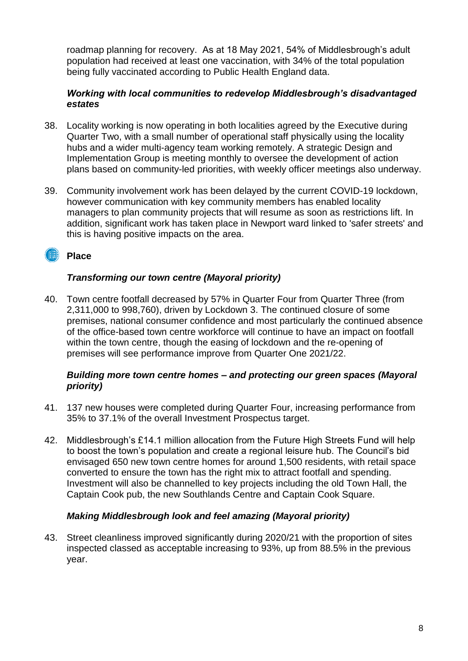roadmap planning for recovery. As at 18 May 2021, 54% of Middlesbrough's adult population had received at least one vaccination, with 34% of the total population being fully vaccinated according to Public Health England data.

### *Working with local communities to redevelop Middlesbrough's disadvantaged estates*

- 38. Locality working is now operating in both localities agreed by the Executive during Quarter Two, with a small number of operational staff physically using the locality hubs and a wider multi-agency team working remotely. A strategic Design and Implementation Group is meeting monthly to oversee the development of action plans based on community-led priorities, with weekly officer meetings also underway.
- 39. Community involvement work has been delayed by the current COVID-19 lockdown, however communication with key community members has enabled locality managers to plan community projects that will resume as soon as restrictions lift. In addition, significant work has taken place in Newport ward linked to 'safer streets' and this is having positive impacts on the area.

### **IIII** Place

### *Transforming our town centre (Mayoral priority)*

40. Town centre footfall decreased by 57% in Quarter Four from Quarter Three (from 2,311,000 to 998,760), driven by Lockdown 3. The continued closure of some premises, national consumer confidence and most particularly the continued absence of the office-based town centre workforce will continue to have an impact on footfall within the town centre, though the easing of lockdown and the re-opening of premises will see performance improve from Quarter One 2021/22.

### *Building more town centre homes – and protecting our green spaces (Mayoral priority)*

- 41. 137 new houses were completed during Quarter Four, increasing performance from 35% to 37.1% of the overall Investment Prospectus target.
- 42. Middlesbrough's £14.1 million allocation from the Future High Streets Fund will help to boost the town's population and create a regional leisure hub. The Council's bid envisaged 650 new town centre homes for around 1,500 residents, with retail space converted to ensure the town has the right mix to attract footfall and spending. Investment will also be channelled to key projects including the old Town Hall, the Captain Cook pub, the new Southlands Centre and Captain Cook Square.

### *Making Middlesbrough look and feel amazing (Mayoral priority)*

43. Street cleanliness improved significantly during 2020/21 with the proportion of sites inspected classed as acceptable increasing to 93%, up from 88.5% in the previous year.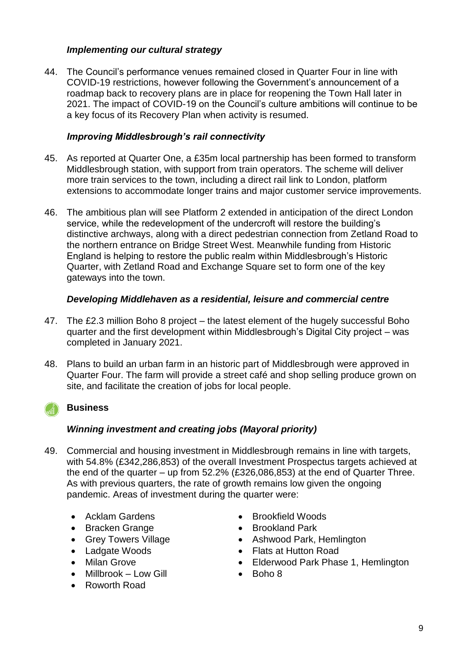### *Implementing our cultural strategy*

44. The Council's performance venues remained closed in Quarter Four in line with COVID-19 restrictions, however following the Government's announcement of a roadmap back to recovery plans are in place for reopening the Town Hall later in 2021. The impact of COVID-19 on the Council's culture ambitions will continue to be a key focus of its Recovery Plan when activity is resumed.

### *Improving Middlesbrough's rail connectivity*

- 45. As reported at Quarter One, a £35m local partnership has been formed to transform Middlesbrough station, with support from train operators. The scheme will deliver more train services to the town, including a direct rail link to London, platform extensions to accommodate longer trains and major customer service improvements.
- 46. The ambitious plan will see Platform 2 extended in anticipation of the direct London service, while the redevelopment of the undercroft will restore the building's distinctive archways, along with a direct pedestrian connection from Zetland Road to the northern entrance on Bridge Street West. Meanwhile funding from Historic England is helping to restore the public realm within Middlesbrough's Historic Quarter, with Zetland Road and Exchange Square set to form one of the key gateways into the town.

### *Developing Middlehaven as a residential, leisure and commercial centre*

- 47. The £2.3 million Boho 8 project the latest element of the hugely successful Boho quarter and the first development within Middlesbrough's Digital City project – was completed in January 2021.
- 48. Plans to build an urban farm in an historic part of Middlesbrough were approved in Quarter Four. The farm will provide a street café and shop selling produce grown on site, and facilitate the creation of jobs for local people.

### **Business**

### *Winning investment and creating jobs (Mayoral priority)*

- 49. Commercial and housing investment in Middlesbrough remains in line with targets, with 54.8% (£342,286,853) of the overall Investment Prospectus targets achieved at the end of the quarter – up from 52.2% (£326,086,853) at the end of Quarter Three. As with previous quarters, the rate of growth remains low given the ongoing pandemic. Areas of investment during the quarter were:
	- Acklam Gardens
	- Bracken Grange
	- Grey Towers Village
	- Ladgate Woods
	- Milan Grove
	- Millbrook Low Gill
	- Roworth Road
- Brookfield Woods
- Brookland Park
- Ashwood Park, Hemlington
- Flats at Hutton Road
- Elderwood Park Phase 1, Hemlington
- Boho 8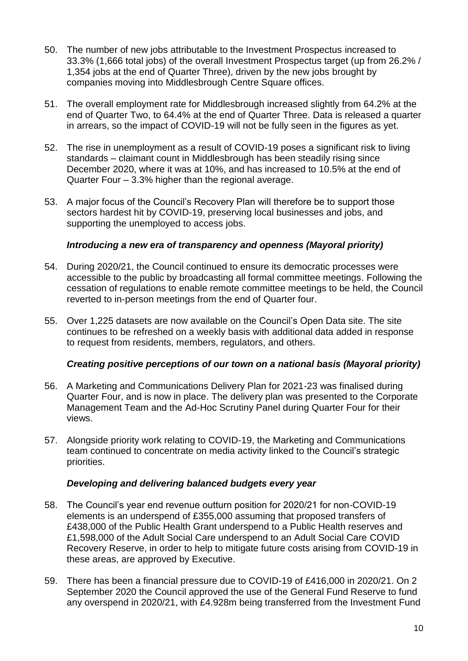- 50. The number of new jobs attributable to the Investment Prospectus increased to 33.3% (1,666 total jobs) of the overall Investment Prospectus target (up from 26.2% / 1,354 jobs at the end of Quarter Three), driven by the new jobs brought by companies moving into Middlesbrough Centre Square offices.
- 51. The overall employment rate for Middlesbrough increased slightly from 64.2% at the end of Quarter Two, to 64.4% at the end of Quarter Three. Data is released a quarter in arrears, so the impact of COVID-19 will not be fully seen in the figures as yet.
- 52. The rise in unemployment as a result of COVID-19 poses a significant risk to living standards – claimant count in Middlesbrough has been steadily rising since December 2020, where it was at 10%, and has increased to 10.5% at the end of Quarter Four – 3.3% higher than the regional average.
- 53. A major focus of the Council's Recovery Plan will therefore be to support those sectors hardest hit by COVID-19, preserving local businesses and jobs, and supporting the unemployed to access jobs.

### *Introducing a new era of transparency and openness (Mayoral priority)*

- 54. During 2020/21, the Council continued to ensure its democratic processes were accessible to the public by broadcasting all formal committee meetings. Following the cessation of regulations to enable remote committee meetings to be held, the Council reverted to in-person meetings from the end of Quarter four.
- 55. Over 1,225 datasets are now available on the Council's Open Data site. The site continues to be refreshed on a weekly basis with additional data added in response to request from residents, members, regulators, and others.

#### *Creating positive perceptions of our town on a national basis (Mayoral priority)*

- 56. A Marketing and Communications Delivery Plan for 2021-23 was finalised during Quarter Four, and is now in place. The delivery plan was presented to the Corporate Management Team and the Ad-Hoc Scrutiny Panel during Quarter Four for their views.
- 57. Alongside priority work relating to COVID-19, the Marketing and Communications team continued to concentrate on media activity linked to the Council's strategic priorities.

#### *Developing and delivering balanced budgets every year*

- 58. The Council's year end revenue outturn position for 2020/21 for non-COVID-19 elements is an underspend of £355,000 assuming that proposed transfers of £438,000 of the Public Health Grant underspend to a Public Health reserves and £1,598,000 of the Adult Social Care underspend to an Adult Social Care COVID Recovery Reserve, in order to help to mitigate future costs arising from COVID-19 in these areas, are approved by Executive.
- 59. There has been a financial pressure due to COVID-19 of £416,000 in 2020/21. On 2 September 2020 the Council approved the use of the General Fund Reserve to fund any overspend in 2020/21, with £4.928m being transferred from the Investment Fund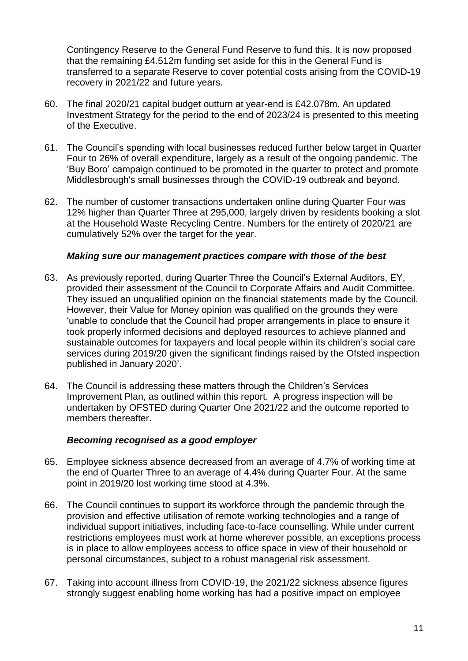Contingency Reserve to the General Fund Reserve to fund this. It is now proposed that the remaining £4.512m funding set aside for this in the General Fund is transferred to a separate Reserve to cover potential costs arising from the COVID-19 recovery in 2021/22 and future years.

- 60. The final 2020/21 capital budget outturn at year-end is £42.078m. An updated Investment Strategy for the period to the end of 2023/24 is presented to this meeting of the Executive.
- 61. The Council's spending with local businesses reduced further below target in Quarter Four to 26% of overall expenditure, largely as a result of the ongoing pandemic. The 'Buy Boro' campaign continued to be promoted in the quarter to protect and promote Middlesbrough's small businesses through the COVID-19 outbreak and beyond.
- 62. The number of customer transactions undertaken online during Quarter Four was 12% higher than Quarter Three at 295,000, largely driven by residents booking a slot at the Household Waste Recycling Centre. Numbers for the entirety of 2020/21 are cumulatively 52% over the target for the year.

#### *Making sure our management practices compare with those of the best*

- 63. As previously reported, during Quarter Three the Council's External Auditors, EY, provided their assessment of the Council to Corporate Affairs and Audit Committee. They issued an unqualified opinion on the financial statements made by the Council. However, their Value for Money opinion was qualified on the grounds they were 'unable to conclude that the Council had proper arrangements in place to ensure it took properly informed decisions and deployed resources to achieve planned and sustainable outcomes for taxpayers and local people within its children's social care services during 2019/20 given the significant findings raised by the Ofsted inspection published in January 2020'.
- 64. The Council is addressing these matters through the Children's Services Improvement Plan, as outlined within this report. A progress inspection will be undertaken by OFSTED during Quarter One 2021/22 and the outcome reported to members thereafter.

#### *Becoming recognised as a good employer*

- 65. Employee sickness absence decreased from an average of 4.7% of working time at the end of Quarter Three to an average of 4.4% during Quarter Four. At the same point in 2019/20 lost working time stood at 4.3%.
- 66. The Council continues to support its workforce through the pandemic through the provision and effective utilisation of remote working technologies and a range of individual support initiatives, including face-to-face counselling. While under current restrictions employees must work at home wherever possible, an exceptions process is in place to allow employees access to office space in view of their household or personal circumstances, subject to a robust managerial risk assessment.
- 67. Taking into account illness from COVID-19, the 2021/22 sickness absence figures strongly suggest enabling home working has had a positive impact on employee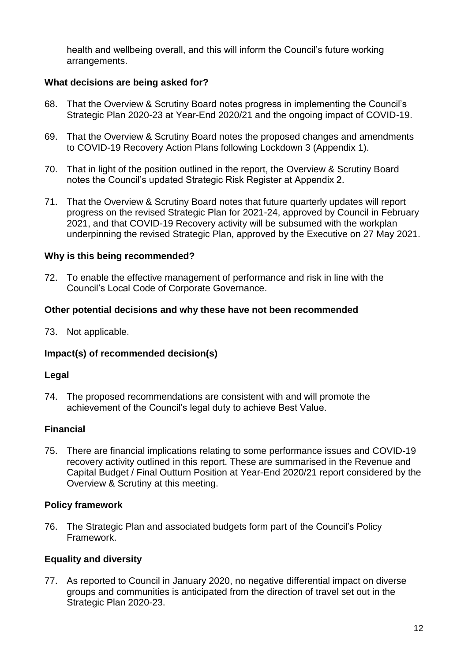health and wellbeing overall, and this will inform the Council's future working arrangements.

### **What decisions are being asked for?**

- 68. That the Overview & Scrutiny Board notes progress in implementing the Council's Strategic Plan 2020-23 at Year-End 2020/21 and the ongoing impact of COVID-19.
- 69. That the Overview & Scrutiny Board notes the proposed changes and amendments to COVID-19 Recovery Action Plans following Lockdown 3 (Appendix 1).
- 70. That in light of the position outlined in the report, the Overview & Scrutiny Board notes the Council's updated Strategic Risk Register at Appendix 2.
- 71. That the Overview & Scrutiny Board notes that future quarterly updates will report progress on the revised Strategic Plan for 2021-24, approved by Council in February 2021, and that COVID-19 Recovery activity will be subsumed with the workplan underpinning the revised Strategic Plan, approved by the Executive on 27 May 2021.

### **Why is this being recommended?**

72. To enable the effective management of performance and risk in line with the Council's Local Code of Corporate Governance.

### **Other potential decisions and why these have not been recommended**

73. Not applicable.

### **Impact(s) of recommended decision(s)**

#### **Legal**

74. The proposed recommendations are consistent with and will promote the achievement of the Council's legal duty to achieve Best Value.

### **Financial**

75. There are financial implications relating to some performance issues and COVID-19 recovery activity outlined in this report. These are summarised in the Revenue and Capital Budget / Final Outturn Position at Year-End 2020/21 report considered by the Overview & Scrutiny at this meeting.

### **Policy framework**

76. The Strategic Plan and associated budgets form part of the Council's Policy Framework.

### **Equality and diversity**

77. As reported to Council in January 2020, no negative differential impact on diverse groups and communities is anticipated from the direction of travel set out in the Strategic Plan 2020-23.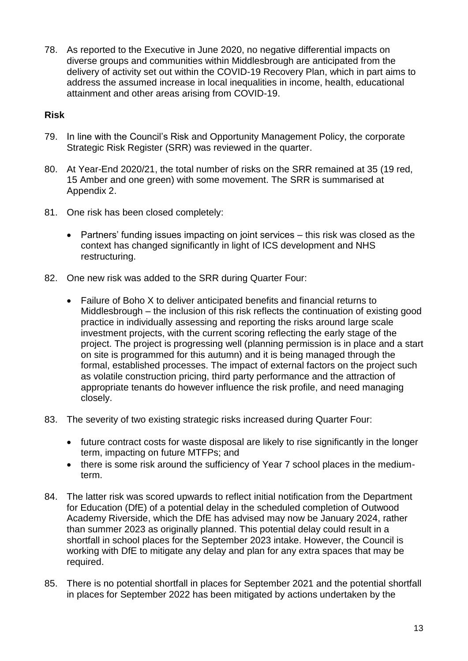78. As reported to the Executive in June 2020, no negative differential impacts on diverse groups and communities within Middlesbrough are anticipated from the delivery of activity set out within the COVID-19 Recovery Plan, which in part aims to address the assumed increase in local inequalities in income, health, educational attainment and other areas arising from COVID-19.

### **Risk**

- 79. In line with the Council's Risk and Opportunity Management Policy, the corporate Strategic Risk Register (SRR) was reviewed in the quarter.
- 80. At Year-End 2020/21, the total number of risks on the SRR remained at 35 (19 red, 15 Amber and one green) with some movement. The SRR is summarised at Appendix 2.
- 81. One risk has been closed completely:
	- Partners' funding issues impacting on joint services this risk was closed as the context has changed significantly in light of ICS development and NHS restructuring.
- 82. One new risk was added to the SRR during Quarter Four:
	- Failure of Boho X to deliver anticipated benefits and financial returns to Middlesbrough – the inclusion of this risk reflects the continuation of existing good practice in individually assessing and reporting the risks around large scale investment projects, with the current scoring reflecting the early stage of the project. The project is progressing well (planning permission is in place and a start on site is programmed for this autumn) and it is being managed through the formal, established processes. The impact of external factors on the project such as volatile construction pricing, third party performance and the attraction of appropriate tenants do however influence the risk profile, and need managing closely.
- 83. The severity of two existing strategic risks increased during Quarter Four:
	- future contract costs for waste disposal are likely to rise significantly in the longer term, impacting on future MTFPs; and
	- there is some risk around the sufficiency of Year 7 school places in the mediumterm.
- 84. The latter risk was scored upwards to reflect initial notification from the Department for Education (DfE) of a potential delay in the scheduled completion of Outwood Academy Riverside, which the DfE has advised may now be January 2024, rather than summer 2023 as originally planned. This potential delay could result in a shortfall in school places for the September 2023 intake. However, the Council is working with DfE to mitigate any delay and plan for any extra spaces that may be required.
- 85. There is no potential shortfall in places for September 2021 and the potential shortfall in places for September 2022 has been mitigated by actions undertaken by the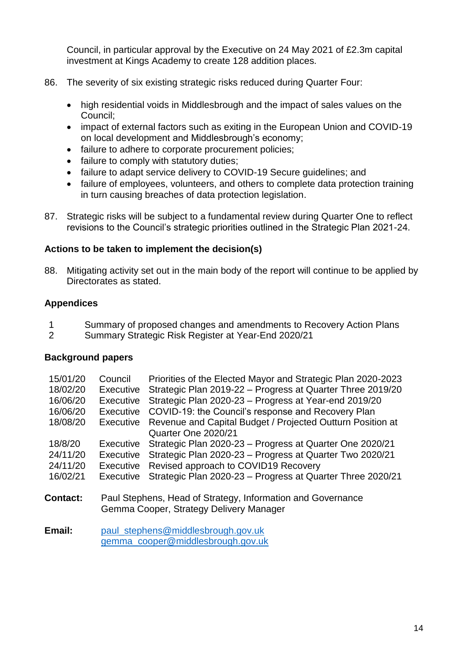Council, in particular approval by the Executive on 24 May 2021 of £2.3m capital investment at Kings Academy to create 128 addition places.

- 86. The severity of six existing strategic risks reduced during Quarter Four:
	- high residential voids in Middlesbrough and the impact of sales values on the Council;
	- impact of external factors such as exiting in the European Union and COVID-19 on local development and Middlesbrough's economy;
	- failure to adhere to corporate procurement policies;
	- failure to comply with statutory duties;
	- failure to adapt service delivery to COVID-19 Secure guidelines; and
	- failure of employees, volunteers, and others to complete data protection training in turn causing breaches of data protection legislation.
- 87. Strategic risks will be subject to a fundamental review during Quarter One to reflect revisions to the Council's strategic priorities outlined in the Strategic Plan 2021-24.

### **Actions to be taken to implement the decision(s)**

88. Mitigating activity set out in the main body of the report will continue to be applied by Directorates as stated.

### **Appendices**

- 1 Summary of proposed changes and amendments to Recovery Action Plans
- 2 Summary Strategic Risk Register at Year-End 2020/21

### **Background papers**

| 15/01/20        | Council          | Priorities of the Elected Mayor and Strategic Plan 2020-2023 |
|-----------------|------------------|--------------------------------------------------------------|
| 18/02/20        | <b>Executive</b> | Strategic Plan 2019-22 - Progress at Quarter Three 2019/20   |
| 16/06/20        | Executive        | Strategic Plan 2020-23 - Progress at Year-end 2019/20        |
| 16/06/20        | <b>Executive</b> | COVID-19: the Council's response and Recovery Plan           |
| 18/08/20        | Executive        | Revenue and Capital Budget / Projected Outturn Position at   |
|                 |                  | Quarter One 2020/21                                          |
| 18/8/20         | <b>Executive</b> | Strategic Plan 2020-23 - Progress at Quarter One 2020/21     |
| 24/11/20        | Executive        | Strategic Plan 2020-23 - Progress at Quarter Two 2020/21     |
| 24/11/20        | <b>Executive</b> | Revised approach to COVID19 Recovery                         |
| 16/02/21        | <b>Executive</b> | Strategic Plan 2020-23 - Progress at Quarter Three 2020/21   |
|                 |                  |                                                              |
| <b>Contact:</b> |                  | Paul Stephens, Head of Strategy, Information and Governance  |
|                 |                  | Gemma Cooper, Strategy Delivery Manager                      |
|                 |                  |                                                              |
| Email:          |                  | paul_stephens@middlesbrough.gov.uk                           |

[gemma\\_cooper@middlesbrough.gov.uk](mailto:gemma_cooper@middlesbrough.gov.uk)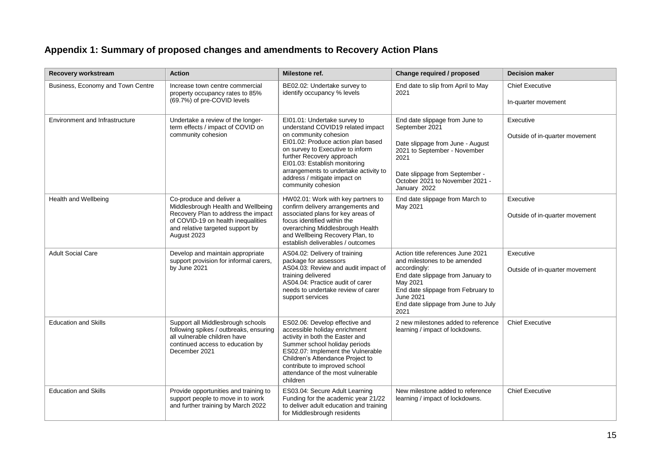# **Appendix 1: Summary of proposed changes and amendments to Recovery Action Plans**

| Recovery workstream                   | <b>Action</b>                                                                                                                                                                                  | Milestone ref.                                                                                                                                                                                                                                                                                                                    | Change required / proposed                                                                                                                                                                                                           | <b>Decision maker</b>                         |
|---------------------------------------|------------------------------------------------------------------------------------------------------------------------------------------------------------------------------------------------|-----------------------------------------------------------------------------------------------------------------------------------------------------------------------------------------------------------------------------------------------------------------------------------------------------------------------------------|--------------------------------------------------------------------------------------------------------------------------------------------------------------------------------------------------------------------------------------|-----------------------------------------------|
| Business, Economy and Town Centre     | Increase town centre commercial<br>property occupancy rates to 85%<br>(69.7%) of pre-COVID levels                                                                                              | BE02.02: Undertake survey to<br>identify occupancy % levels                                                                                                                                                                                                                                                                       | End date to slip from April to May<br>2021                                                                                                                                                                                           | <b>Chief Executive</b><br>In-quarter movement |
| <b>Environment and Infrastructure</b> | Undertake a review of the longer-<br>term effects / impact of COVID on<br>community cohesion                                                                                                   | EI01.01: Undertake survey to<br>understand COVID19 related impact<br>on community cohesion<br>EI01.02: Produce action plan based<br>on survey to Executive to inform<br>further Recovery approach<br>EI01.03: Establish monitoring<br>arrangements to undertake activity to<br>address / mitigate impact on<br>community cohesion | End date slippage from June to<br>September 2021<br>Date slippage from June - August<br>2021 to September - November<br>2021<br>Date slippage from September -<br>October 2021 to November 2021 -<br>January 2022                    |                                               |
| Health and Wellbeing                  | Co-produce and deliver a<br>Middlesbrough Health and Wellbeing<br>Recovery Plan to address the impact<br>of COVID-19 on health inequalities<br>and relative targeted support by<br>August 2023 | HW02.01: Work with key partners to<br>confirm delivery arrangements and<br>associated plans for key areas of<br>focus identified within the<br>overarching Middlesbrough Health<br>and Wellbeing Recovery Plan, to<br>establish deliverables / outcomes                                                                           | End date slippage from March to<br>May 2021                                                                                                                                                                                          | Executive<br>Outside of in-quarter movement   |
| <b>Adult Social Care</b>              | Develop and maintain appropriate<br>support provision for informal carers,<br>by June 2021                                                                                                     | AS04.02: Delivery of training<br>package for assessors<br>AS04.03: Review and audit impact of<br>training delivered<br>AS04.04: Practice audit of carer<br>needs to undertake review of carer<br>support services                                                                                                                 | Action title references June 2021<br>and milestones to be amended<br>accordingly:<br>End date slippage from January to<br>May 2021<br>End date slippage from February to<br>June 2021<br>End date slippage from June to July<br>2021 | Executive<br>Outside of in-quarter movement   |
| <b>Education and Skills</b>           | Support all Middlesbrough schools<br>following spikes / outbreaks, ensuring<br>all vulnerable children have<br>continued access to education by<br>December 2021                               | ES02.06: Develop effective and<br>accessible holiday enrichment<br>activity in both the Easter and<br>Summer school holiday periods<br>ES02.07: Implement the Vulnerable<br>Children's Attendance Project to<br>contribute to improved school<br>attendance of the most vulnerable<br>children                                    | 2 new milestones added to reference<br>learning / impact of lockdowns.                                                                                                                                                               | <b>Chief Executive</b>                        |
| <b>Education and Skills</b>           | Provide opportunities and training to<br>support people to move in to work<br>and further training by March 2022                                                                               | ES03.04: Secure Adult Learning<br>Funding for the academic year 21/22<br>to deliver adult education and training<br>for Middlesbrough residents                                                                                                                                                                                   | New milestone added to reference<br>learning / impact of lockdowns.                                                                                                                                                                  | <b>Chief Executive</b>                        |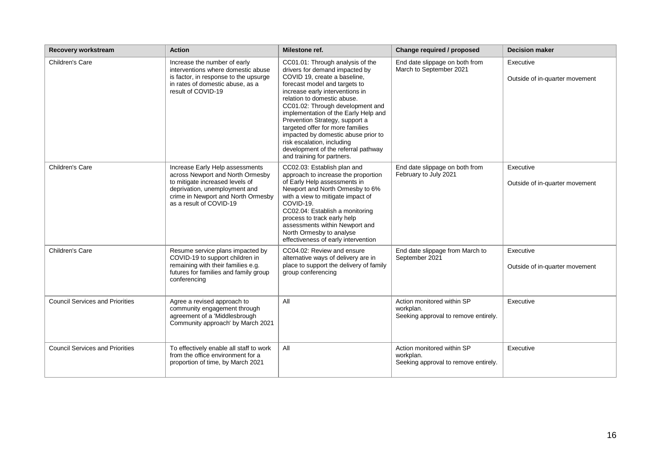| Recovery workstream                    | <b>Action</b>                                                                                                                                                                                            | Milestone ref.                                                                                                                                                                                                                                                                                                                                                                                                                                                                                    | Change required / proposed                                                      | <b>Decision maker</b>                       |
|----------------------------------------|----------------------------------------------------------------------------------------------------------------------------------------------------------------------------------------------------------|---------------------------------------------------------------------------------------------------------------------------------------------------------------------------------------------------------------------------------------------------------------------------------------------------------------------------------------------------------------------------------------------------------------------------------------------------------------------------------------------------|---------------------------------------------------------------------------------|---------------------------------------------|
| Children's Care                        | Increase the number of early<br>interventions where domestic abuse<br>is factor, in response to the upsurge<br>in rates of domestic abuse, as a<br>result of COVID-19                                    | CC01.01: Through analysis of the<br>drivers for demand impacted by<br>COVID 19, create a baseline,<br>forecast model and targets to<br>increase early interventions in<br>relation to domestic abuse.<br>CC01.02: Through development and<br>implementation of the Early Help and<br>Prevention Strategy, support a<br>targeted offer for more families<br>impacted by domestic abuse prior to<br>risk escalation, including<br>development of the referral pathway<br>and training for partners. | End date slippage on both from<br>March to September 2021                       | Executive<br>Outside of in-quarter movement |
| Children's Care                        | Increase Early Help assessments<br>across Newport and North Ormesby<br>to mitigate increased levels of<br>deprivation, unemployment and<br>crime in Newport and North Ormesby<br>as a result of COVID-19 | CC02.03: Establish plan and<br>approach to increase the proportion<br>of Early Help assessments in<br>Newport and North Ormesby to 6%<br>with a view to mitigate impact of<br>COVID-19.<br>CC02.04: Establish a monitoring<br>process to track early help<br>assessments within Newport and<br>North Ormesby to analyse<br>effectiveness of early intervention                                                                                                                                    | End date slippage on both from<br>February to July 2021                         | Executive<br>Outside of in-quarter movement |
| Children's Care                        | Resume service plans impacted by<br>COVID-19 to support children in<br>remaining with their families e.g.<br>futures for families and family group<br>conferencing                                       | CC04.02: Review and ensure<br>alternative ways of delivery are in<br>place to support the delivery of family<br>group conferencing                                                                                                                                                                                                                                                                                                                                                                | End date slippage from March to<br>September 2021                               | Executive<br>Outside of in-quarter movement |
| <b>Council Services and Priorities</b> | Agree a revised approach to<br>community engagement through<br>agreement of a 'Middlesbrough<br>Community approach' by March 2021                                                                        | All                                                                                                                                                                                                                                                                                                                                                                                                                                                                                               | Action monitored within SP<br>workplan.<br>Seeking approval to remove entirely. | Executive                                   |
| <b>Council Services and Priorities</b> | To effectively enable all staff to work<br>from the office environment for a<br>proportion of time, by March 2021                                                                                        | All                                                                                                                                                                                                                                                                                                                                                                                                                                                                                               | Action monitored within SP<br>workplan.<br>Seeking approval to remove entirely. | Executive                                   |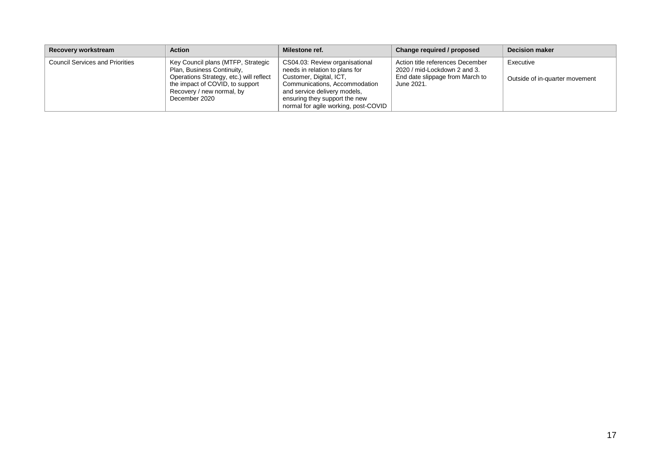| Recovery workstream                    | <b>Action</b>                                                                                                                                                                                | Milestone ref.                                                                                                                                                                                                                        | Change required / proposed                                                                                        | <b>Decision maker</b>                       |
|----------------------------------------|----------------------------------------------------------------------------------------------------------------------------------------------------------------------------------------------|---------------------------------------------------------------------------------------------------------------------------------------------------------------------------------------------------------------------------------------|-------------------------------------------------------------------------------------------------------------------|---------------------------------------------|
| <b>Council Services and Priorities</b> | Key Council plans (MTFP, Strategic<br>Plan, Business Continuity,<br>Operations Strategy, etc.) will reflect<br>the impact of COVID, to support<br>Recovery / new normal, by<br>December 2020 | CS04.03: Review organisational<br>needs in relation to plans for<br>Customer, Digital, ICT,<br>Communications, Accommodation<br>and service delivery models,<br>ensuring they support the new<br>normal for agile working, post-COVID | Action title references December<br>2020 / mid-Lockdown 2 and 3.<br>End date slippage from March to<br>June 2021. | Executive<br>Outside of in-quarter movement |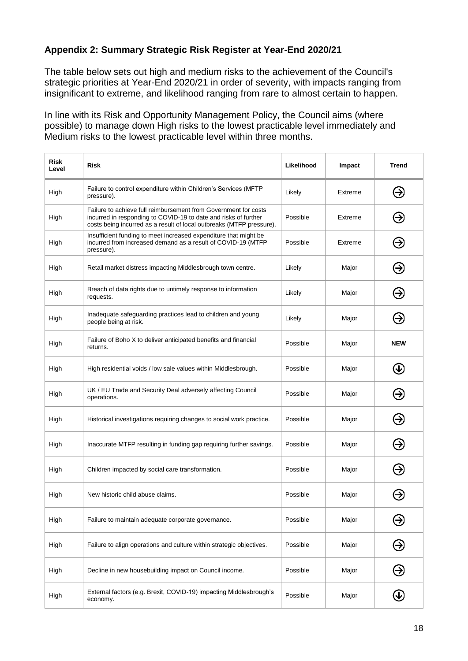### **Appendix 2: Summary Strategic Risk Register at Year-End 2020/21**

The table below sets out high and medium risks to the achievement of the Council's strategic priorities at Year-End 2020/21 in order of severity, with impacts ranging from insignificant to extreme, and likelihood ranging from rare to almost certain to happen.

In line with its Risk and Opportunity Management Policy, the Council aims (where possible) to manage down High risks to the lowest practicable level immediately and Medium risks to the lowest practicable level within three months.

| <b>Risk</b><br>Level | <b>Risk</b>                                                                                                                                                                                                | Likelihood | Impact  | <b>Trend</b>               |
|----------------------|------------------------------------------------------------------------------------------------------------------------------------------------------------------------------------------------------------|------------|---------|----------------------------|
| High                 | Failure to control expenditure within Children's Services (MFTP<br>pressure).                                                                                                                              | Likely     | Extreme | ❸                          |
| High                 | Failure to achieve full reimbursement from Government for costs<br>incurred in responding to COVID-19 to date and risks of further<br>costs being incurred as a result of local outbreaks (MTFP pressure). | Possible   | Extreme | ☺                          |
| High                 | Insufficient funding to meet increased expenditure that might be<br>incurred from increased demand as a result of COVID-19 (MTFP<br>pressure).                                                             | Possible   | Extreme | Э                          |
| High                 | Retail market distress impacting Middlesbrough town centre.                                                                                                                                                | Likely     | Major   | Э                          |
| High                 | Breach of data rights due to untimely response to information<br>requests.                                                                                                                                 | Likely     | Major   | ❸                          |
| High                 | Inadequate safeguarding practices lead to children and young<br>people being at risk.                                                                                                                      | Likely     | Major   | ⊖                          |
| High                 | Failure of Boho X to deliver anticipated benefits and financial<br>returns.                                                                                                                                | Possible   | Major   | <b>NEW</b>                 |
| High                 | High residential voids / low sale values within Middlesbrough.                                                                                                                                             | Possible   | Major   | $\bigcirc$                 |
| High                 | UK / EU Trade and Security Deal adversely affecting Council<br>operations.                                                                                                                                 | Possible   | Major   | ⊖                          |
| High                 | Historical investigations requiring changes to social work practice.                                                                                                                                       | Possible   | Major   | ❸                          |
| High                 | Inaccurate MTFP resulting in funding gap requiring further savings.                                                                                                                                        | Possible   | Major   | ❸                          |
| High                 | Children impacted by social care transformation.                                                                                                                                                           | Possible   | Major   | ❸                          |
| High                 | New historic child abuse claims.                                                                                                                                                                           | Possible   | Major   |                            |
| High                 | Failure to maintain adequate corporate governance.                                                                                                                                                         | Possible   | Major   | Э                          |
| High                 | Failure to align operations and culture within strategic objectives.                                                                                                                                       | Possible   | Major   | $\bm{\Theta}$              |
| High                 | Decline in new housebuilding impact on Council income.                                                                                                                                                     | Possible   | Major   | $\bm \Theta$               |
| High                 | External factors (e.g. Brexit, COVID-19) impacting Middlesbrough's<br>economy.                                                                                                                             | Possible   | Major   | $\bigcirc \hspace{-1.2mm}$ |